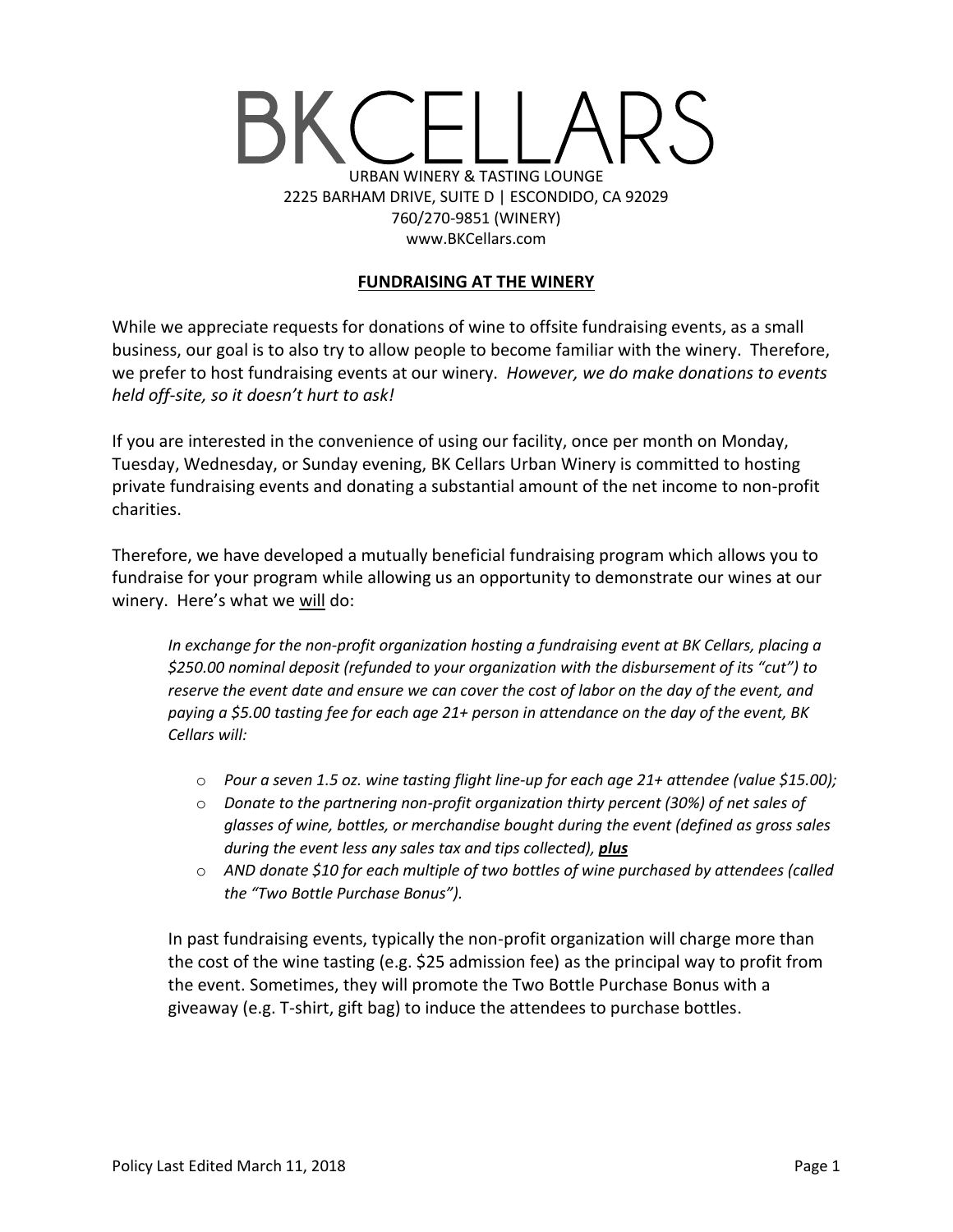# URBAN WINERY & TASTING LOUNGE 2225 BARHAM DRIVE, SUITE D | ESCONDIDO, CA 92029 760/270-9851 (WINERY) www.BKCellars.com

# **FUNDRAISING AT THE WINERY**

While we appreciate requests for donations of wine to offsite fundraising events, as a small business, our goal is to also try to allow people to become familiar with the winery. Therefore, we prefer to host fundraising events at our winery. *However, we do make donations to events held off-site, so it doesn't hurt to ask!*

If you are interested in the convenience of using our facility, once per month on Monday, Tuesday, Wednesday, or Sunday evening, BK Cellars Urban Winery is committed to hosting private fundraising events and donating a substantial amount of the net income to non-profit charities.

Therefore, we have developed a mutually beneficial fundraising program which allows you to fundraise for your program while allowing us an opportunity to demonstrate our wines at our winery. Here's what we will do:

*In exchange for the non-profit organization hosting a fundraising event at BK Cellars, placing a \$250.00 nominal deposit (refunded to your organization with the disbursement of its "cut") to reserve the event date and ensure we can cover the cost of labor on the day of the event, and paying a \$5.00 tasting fee for each age 21+ person in attendance on the day of the event, BK Cellars will:*

- o *Pour a seven 1.5 oz. wine tasting flight line-up for each age 21+ attendee (value \$15.00);*
- o *Donate to the partnering non-profit organization thirty percent (30%) of net sales of glasses of wine, bottles, or merchandise bought during the event (defined as gross sales during the event less any sales tax and tips collected), plus*
- o *AND donate \$10 for each multiple of two bottles of wine purchased by attendees (called the "Two Bottle Purchase Bonus").*

In past fundraising events, typically the non-profit organization will charge more than the cost of the wine tasting (e.g. \$25 admission fee) as the principal way to profit from the event. Sometimes, they will promote the Two Bottle Purchase Bonus with a giveaway (e.g. T-shirt, gift bag) to induce the attendees to purchase bottles.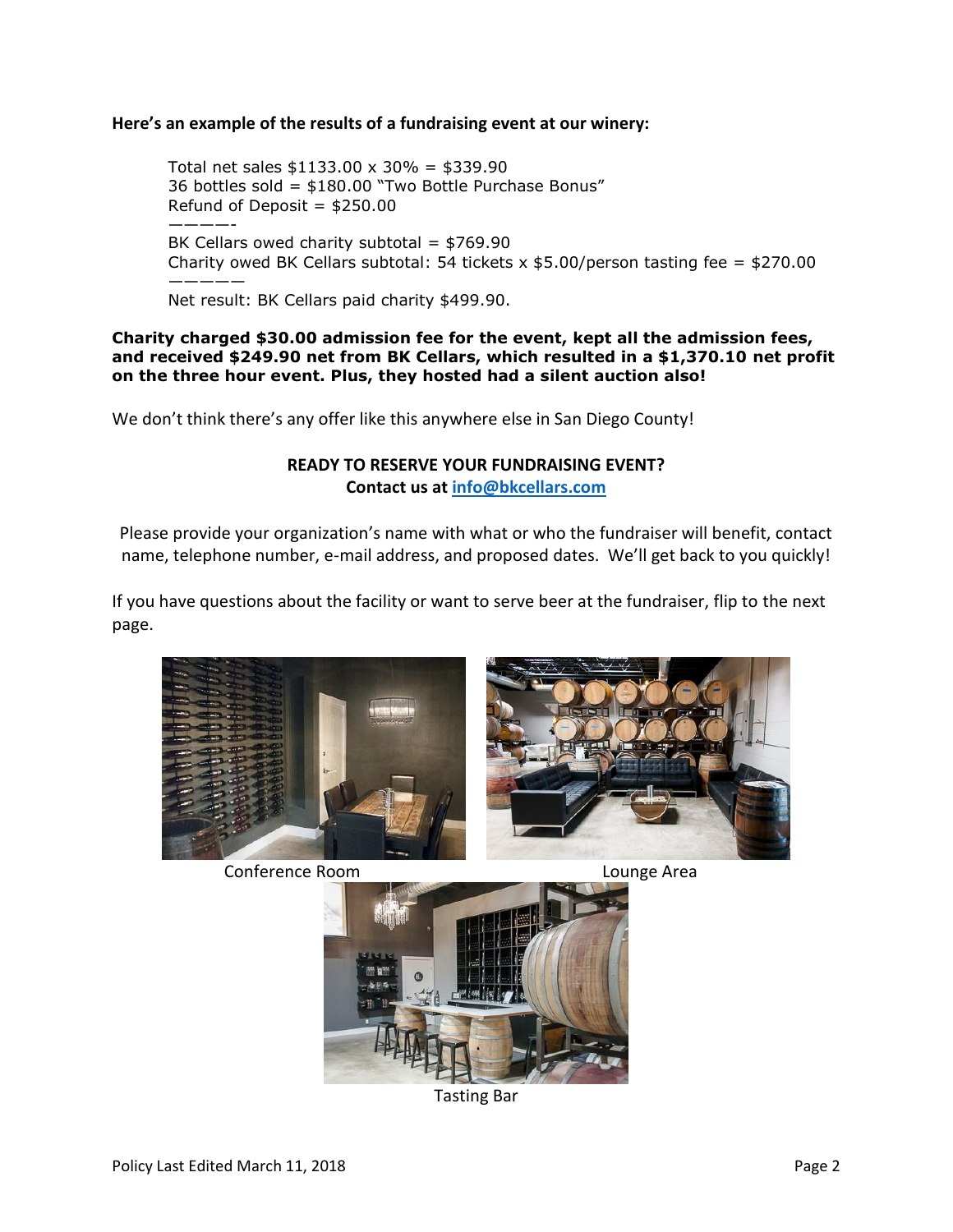#### **Here's an example of the results of a fundraising event at our winery:**

Total net sales  $$1133.00 \times 30\% = $339.90$ 36 bottles sold = \$180.00 "Two Bottle Purchase Bonus" Refund of Deposit =  $$250.00$ ————- BK Cellars owed charity subtotal =  $$769.90$ Charity owed BK Cellars subtotal: 54 tickets  $x$  \$5.00/person tasting fee = \$270.00 ————— Net result: BK Cellars paid charity \$499.90.

**Charity charged \$30.00 admission fee for the event, kept all the admission fees, and received \$249.90 net from BK Cellars, which resulted in a \$1,370.10 net profit on the three hour event. Plus, they hosted had a silent auction also!**

We don't think there's any offer like this anywhere else in San Diego County!

# **READY TO RESERVE YOUR FUNDRAISING EVENT? Contact us at [info@bkcellars.com](mailto:info@bkcellars.com)**

Please provide your organization's name with what or who the fundraiser will benefit, contact name, telephone number, e-mail address, and proposed dates. We'll get back to you quickly!

If you have questions about the facility or want to serve beer at the fundraiser, flip to the next page.



Conference Room Lounge Area



Tasting Bar